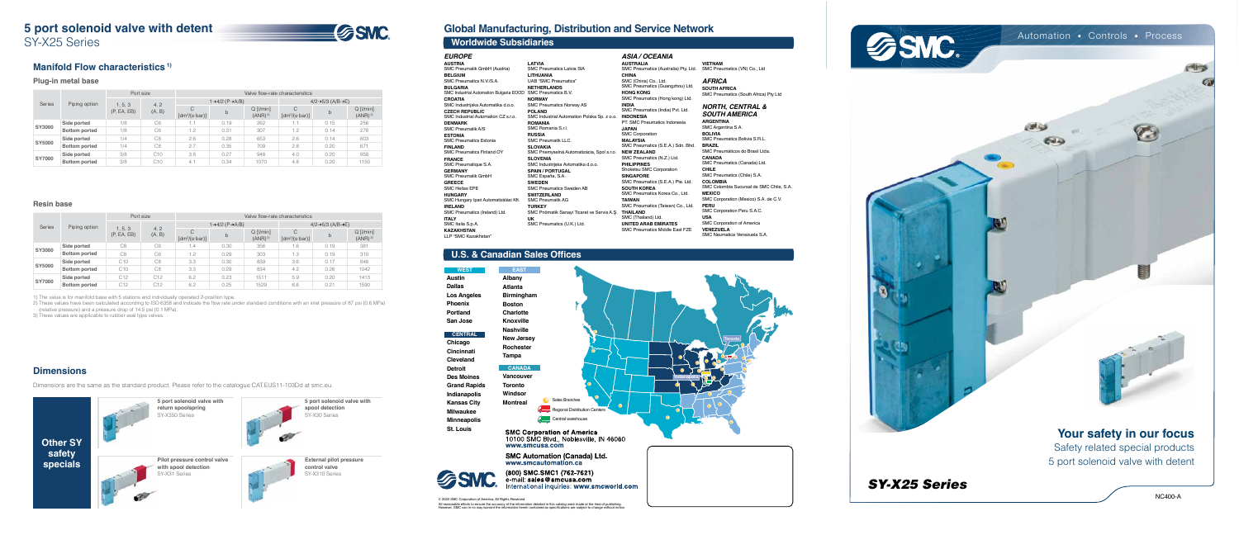## **5 port solenoid valve with detent**

SY-X25 Series

# **SSMC**

© 2020 SMC Corporation of America, All Rights Reserved. All reasonable efforts to ensure the accuracy of the information detailed in this catalog were made at the time of publishing.<br>However, SMC can in no way warrant the information herein contained as specifications are subje

### **Global Manufacturing, Distribution and Service Network**

**Austin Dallas Los Angeles Phoenix Portland San Jose**

**Chicago Cincinnati Cleveland Detroit Des Moines Grand Rapids Indianapolis Kansas City Milwaukee Minneapolis St. Louis**

| <b>EAST</b>       |                               |
|-------------------|-------------------------------|
| Albany            |                               |
| <b>Atlanta</b>    |                               |
| <b>Birmingham</b> |                               |
| <b>Boston</b>     |                               |
| <b>Charlotte</b>  |                               |
| <b>Knoxville</b>  |                               |
| <b>Nashville</b>  |                               |
| <b>New Jersey</b> |                               |
| <b>Rochester</b>  |                               |
| Tampa             |                               |
| <b>CANADA</b>     |                               |
| <b>Vancouver</b>  |                               |
| <b>Toronto</b>    |                               |
| Windsor           | ۰                             |
| <b>Montreal</b>   | Sales Branches                |
|                   | Regional Distribution Centers |
|                   | Central warehouse             |
|                   |                               |

**SMC Corporation of America** 10100 SMC Blvd., Noblesville, IN 46060 www.smcusa.com

**SMC Automation (Canada) Ltd.**<br>www.smcautomation.ca



(800) SMC.SMC1 (762-7621) è-máil: **sales@smċusa.com**´ Iternational inquiries: www.smcworld.com

**CENTRAL**

**WEST**

### **Worldwide Subsidiaries**

### **U.S. & Canadian Sales Offices**





LLP "SMC Kazakhstan"

| <b>AUSTRIA</b>                          | <b>LATVIA</b>                               | <b>AUSTRALIA</b>       |
|-----------------------------------------|---------------------------------------------|------------------------|
| SMC Pneumatik GmbH (Austria)            | <b>SMC Pneumatics Latvia SIA</b>            | <b>SMC Pneumatics</b>  |
| <b>BELGIUM</b>                          | <b>LITHUANIA</b>                            | <b>CHINA</b>           |
| SMC Pneumatics N.V./S.A.                | UAB "SMC Pneumatics"                        | SMC (China) Co         |
| <b>BULGARIA</b>                         | <b>NETHERLANDS</b>                          | <b>SMC Pneumatics</b>  |
| SMC Industrial Automation Bulgaria EOOD | SMC Pneumatics B.V.                         | <b>HONG KONG</b>       |
| <b>CROATIA</b>                          | <b>NORWAY</b>                               | <b>SMC Pneumatics</b>  |
| SMC Industrijska Automatika d.o.o.      | <b>SMC Pneumatics Norway AS</b>             | <b>INDIA</b>           |
| <b>CZECH REPUBLIC</b>                   | <b>POLAND</b>                               | <b>SMC Pneumatics</b>  |
| SMC Industrial Automation CZ s.r.o.     | SMC Industrial Automation Polska Sp. z o.o. | <b>INDONESIA</b>       |
| <b>DENMARK</b>                          | <b>ROMANIA</b>                              | PT. SMC Pneum          |
| <b>SMC Pneumatik A/S</b>                | SMC Romania S.r.l.                          | <b>JAPAN</b>           |
| <b>ESTONIA</b>                          | <b>RUSSIA</b>                               | <b>SMC Corporation</b> |
| <b>SMC Pneumatics Estonia</b>           | <b>SMC Pneumatik LLC.</b>                   | <b>MALAYSIA</b>        |
| <b>FINLAND</b>                          | <b>SLOVAKIA</b>                             | <b>SMC Pneumatics</b>  |
| <b>SMC Pneumatics Finland OY</b>        | SMC Priemyselná Automatizácia, Spol s.r.o.  | <b>NEW ZEALAND</b>     |
| <b>FRANCE</b>                           | <b>SLOVENIA</b>                             | <b>SMC Pneumatics</b>  |
| SMC Pneumatique S.A.                    | SMC Industrijska Avtomatika d.o.o.          | <b>PHILIPPINES</b>     |
| <b>GERMANY</b>                          | <b>SPAIN / PORTUGAL</b>                     | Shoketsu SMC C         |
| <b>SMC Pneumatik GmbH</b>               | SMC España, S.A.                            | <b>SINGAPORE</b>       |
| <b>GREECE</b>                           | <b>SWEDEN</b>                               | <b>SMC Pneumatics</b>  |
| <b>SMC Hellas EPE</b>                   | <b>SMC Pneumatics Sweden AB</b>             | <b>SOUTH KOREA</b>     |
| <b>HUNGARY</b>                          | <b>SWITZERLAND</b>                          | <b>SMC Pneumatics</b>  |
| SMC Hungary Ipari Automatizálási Kft.   | <b>SMC Pneumatik AG</b>                     | <b>TAIWAN</b>          |
| <b>IRELAND</b>                          | <b>TURKEY</b>                               | <b>SMC Pneumatics</b>  |
| SMC Pneumatics (Ireland) Ltd.           | SMC Pnömatik Sanayi Ticaret ve Servis A.S.  | <b>THAILAND</b>        |
| <b>ITALY</b>                            | UK                                          | SMC (Thailand) I       |
| SMC Italia S.p.A.                       | SMC Pneumatics (U.K.) Ltd.                  | <b>UNITED ARAB I</b>   |
| <b>KAZAKHSTAN</b>                       |                                             | <b>SMC Pneumatics</b>  |
|                                         |                                             |                        |

*ASIA / OCEANIA* **AUSTRALIA** SMC Pneumatics (Australia) Pty. Ltd. **CHINA** SMC (China) Co., Ltd. SMC Pneumatics (Guangzhou) Ltd. **HONG KONG** SMC Pneumatics (Hong kong) Ltd. **INDIA** SMC Pneumatics (India) Pvt. Ltd. PT. SMC Pneumatics Indonesia **JAPAN** SMC Corporation **MALAYSIA** SMC Pneumatics (S.E.A.) Sdn. Bhd. SMC Pneumatics (N.Z.) Ltd. **PHILIPPINES** Shoketsu SMC Corporation **SINGAPORE** SMC Pneumatics (S.E.A.) Pte. Ltd. **SOUTH KOREA** SMC Pneumatics Korea Co., Ltd. **TAIWAN** SMC Pneumatics (Taiwan) Co., Ltd. SMC (Thailand) Ltd. **UNITED ARAB EMIRATES** SMC Pneumatics Middle East FZE

**VIETNAM** SMC Pneumatics (VN) Co., Ltd

> *AFRICA* **SOUTH AFRICA** SMC Pneumatics (South Africa) Pty Ltd

#### *NORTH, CENTRAL & SOUTH AMERICA*

**ARGENTINA** SMC Argentina S.A. **BOLIVIA** SMC Pneumatics Bolivia S.R.L. **BRAZIL** SMC Pneumáticos do Brasil Ltda. **CANADA** SMC Pneumatics (Canada) Ltd. **CHILE** SMC Pneumatics (Chile) S.A. **COLOMBIA** SMC Colombia Sucursal de SMC Chile, S.A. **MEXICO** SMC Corporation (Mexico) S.A. de C.V. **PERU** SMC Corporation Peru S.A.C. **USA** SMC Corporation of America **VENEZUELA** SMC Neumatica Venezuela S.A.









**Pilot pressure control valve with spool detection** SY-X31 Series

**External pilot pressure control valve** SY-X310 Series

### **Manifold Flow characteristics 1)**

### **Plug-in metal base**

#### **Resin base**

### **Dimensions**

Dimensions are the same as the standard product. Please refer to the catalogue CAT.EUS11-103Dd at smc.eu.

|               | Piping option        | Port size              |                | Valve flow-rate characteristics           |      |                                   |                                             |      |                                       |  |
|---------------|----------------------|------------------------|----------------|-------------------------------------------|------|-----------------------------------|---------------------------------------------|------|---------------------------------------|--|
| Series        |                      |                        | 4, 2<br>(A, B) | $1 \rightarrow 4/2$ (P $\rightarrow$ A/B) |      |                                   | $4/2 \rightarrow 5/3$ (A/B $\rightarrow$ E) |      |                                       |  |
|               |                      | 1, 5, 3<br>(P, EA, EB) |                | C<br>$\lceil dm^3/(s \cdot bar) \rceil$   | b    | $Q$ [l/min]<br>(ANR) <sup>2</sup> | C<br>$[dm^3/(s \cdot bar)]$                 | b    | $Q$ [ $l/min$ ]<br>(ANR) <sup>2</sup> |  |
| SY3000        | Side ported          | 1/8                    | C <sub>6</sub> | 1.1                                       | 0.19 | 262                               | 1.1                                         | 0.15 | 256                                   |  |
|               | <b>Bottom ported</b> | 1/8                    | C <sub>6</sub> | 1.2                                       | 0.31 | 307                               | 1.2                                         | 0.14 | 278                                   |  |
| SY5000        | Side ported          | 1/4                    | C <sub>8</sub> | 2.6                                       | 0.28 | 653                               | 2.6                                         | 0.14 | 603                                   |  |
|               | <b>Bottom ported</b> | 1/4                    | C <sub>8</sub> | 2.7                                       | 0.35 | 709                               | 2.8                                         | 0.20 | 671                                   |  |
| <b>SY7000</b> | Side ported          | 3/8                    | C10            | 3.8                                       | 0.27 | 948                               | 4.0                                         | 0.20 | 958                                   |  |
|               | <b>Bottom ported</b> | 3/8                    | C10            | 4.7                                       | 0.34 | 1070                              | 4.8                                         | 0.20 | 1150                                  |  |

|               | Piping option        | Port size              |                | Valve flow-rate characteristics |      |                                       |                                             |      |                                       |  |
|---------------|----------------------|------------------------|----------------|---------------------------------|------|---------------------------------------|---------------------------------------------|------|---------------------------------------|--|
| Series        |                      |                        | 4, 2<br>(A, B) | 1→4/2 (P→A/B)                   |      |                                       | $4/2 \rightarrow 5/3$ (A/B $\rightarrow$ E) |      |                                       |  |
|               |                      | 1, 5, 3<br>(P, EA, EB) |                | C<br>$[dm^3/(s·bar)]$           | b    | $Q$ [ $l/min$ ]<br>(ANR) <sup>2</sup> | C<br>$\lceil dm^3/(s \cdot bar) \rceil$     | b    | $Q$ [ $l/min$ ]<br>(ANR) <sup>2</sup> |  |
| SY3000        | Side ported          | C <sub>8</sub>         | C <sub>6</sub> | 1.4                             | 0.30 | 356                                   | 1.6                                         | 0.19 | 381                                   |  |
|               | <b>Bottom ported</b> | C <sub>8</sub>         | C6             | 1.2                             | 0.29 | 303                                   | 1.3                                         | 0.19 | 310                                   |  |
| SY5000        | Side ported          | C10                    | C <sub>8</sub> | 3.3                             | 0.30 | 839                                   | 3.6                                         | 0.17 | 848                                   |  |
|               | <b>Bottom ported</b> | C10                    | C <sub>8</sub> | 3.3                             | 0.29 | 834                                   | 4.2                                         | 0.26 | 1042                                  |  |
| <b>SY7000</b> | Side ported          | C12                    | C12            | 6.2                             | 0.23 | 1511                                  | 5.9                                         | 0.20 | 1413                                  |  |
|               | <b>Bottom ported</b> | C12                    | C12            | 6.2                             | 0.25 | 1529                                  | 6.6                                         | 0.21 | 1590                                  |  |

1) The value is for manifold base with 5 stations and individually operated 2-position type.

2) These values have been calculated according to ISO 6358 and indicate the flow rate under standard conditions with an inlet pressure of 87 psi (0.6 MPa) (relative pressure) and a pressure drop of 14.5 psi (0.1 MPa).

3) These values are applicable to rubber seal type valves.



Safety related special products 5 port solenoid valve with detent

### Automation • Controls • Process

*SY-X25 Series*